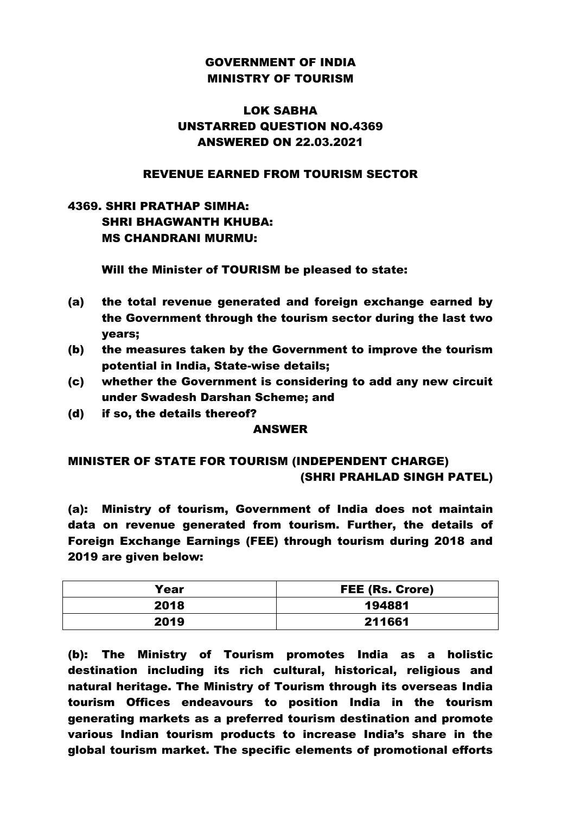## GOVERNMENT OF INDIA MINISTRY OF TOURISM

## LOK SABHA UNSTARRED QUESTION NO.4369 ANSWERED ON 22.03.2021

### REVENUE EARNED FROM TOURISM SECTOR

# 4369. SHRI PRATHAP SIMHA: SHRI BHAGWANTH KHUBA: MS CHANDRANI MURMU:

### Will the Minister of TOURISM be pleased to state:

- (a) the total revenue generated and foreign exchange earned by the Government through the tourism sector during the last two years;
- (b) the measures taken by the Government to improve the tourism potential in India, State-wise details;
- (c) whether the Government is considering to add any new circuit under Swadesh Darshan Scheme; and
- (d) if so, the details thereof?

### ANSWER

## MINISTER OF STATE FOR TOURISM (INDEPENDENT CHARGE) (SHRI PRAHLAD SINGH PATEL)

(a): Ministry of tourism, Government of India does not maintain data on revenue generated from tourism. Further, the details of Foreign Exchange Earnings (FEE) through tourism during 2018 and 2019 are given below:

| Year | <b>FEE (Rs. Crore)</b> |
|------|------------------------|
| 2018 | 194881                 |
| 2019 | 211661                 |

(b): The Ministry of Tourism promotes India as a holistic destination including its rich cultural, historical, religious and natural heritage. The Ministry of Tourism through its overseas India tourism Offices endeavours to position India in the tourism generating markets as a preferred tourism destination and promote various Indian tourism products to increase India's share in the global tourism market. The specific elements of promotional efforts